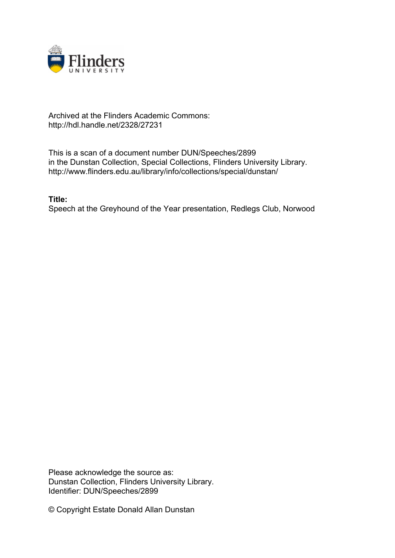

## Archived at the Flinders Academic Commons: http://hdl.handle.net/2328/27231

This is a scan of a document number DUN/Speeches/2899 in the Dunstan Collection, Special Collections, Flinders University Library. http://www.flinders.edu.au/library/info/collections/special/dunstan/

**Title:**

Speech at the Greyhound of the Year presentation, Redlegs Club, Norwood

Please acknowledge the source as: Dunstan Collection, Flinders University Library. Identifier: DUN/Speeches/2899

© Copyright Estate Donald Allan Dunstan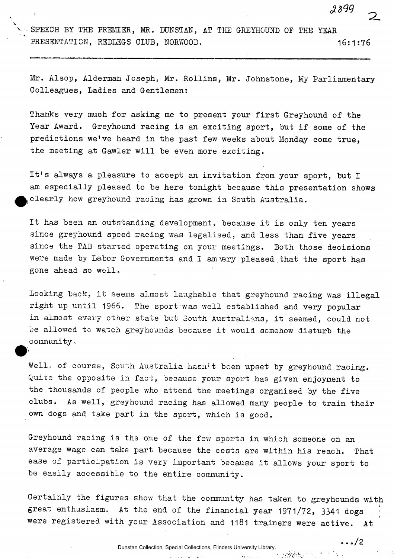2899

 $\ldots/2$ 

SPEECH BY THE PREMIER, MR. DUNSIAN, AT THE GREYHOUND OF THE YEAR PRESENTATION, REDLEGS CLUB, NORWOOD. 16:1:76

Mr. Alsop, Alderman Joseph, Mr. Rollins, Mr. Johnstone, My Parliamentary Colleagues, Ladies and Gentlemen:

Thanks very much for asking me to present your first Greyhound of the Year Award. Greyhound racing is an exciting sport, but if some of the predictions we've heard in the past few weeks about Monday come true, the meeting at Gawler will be even more exciting.

It's always a pleasure to accept an invitation from your sport, but I am especially pleased to be here tonight because this presentation shows ^clearly how greyhound racing has grown in South Australia.

It has been an outstanding development, because it is only ten years since greyhound speed racing was legalised, and less than five years since the TAB started operating on your meetings. Both those decisions were made by Labor Governments and I am very pleased that the sport has gone ahead so well.

Looking back, it seems almost laughable that greyhound racing was illegal right up until 1966. The sport was well established and very popular in almost every other state but South Australians, it seemed, could not be allowed to watch greyhounds because it would somehow disturb the community,,

Well, of course, South Australia hasn't been upset by greyhound racing. Quite the opposite in fact, because your sport has given enjoyment to the thousands of people who attend the meetings organised by the five clubs. As well, greyhound racing has allowed many people to train their own dogs and take part in the sport, which is good.

 $\mathbf{v}_{\text{max}}$ 

Greyhound racing is the one of the few sports in which someone on an average wage can take part because the costs are within his reach. That ease of participation is very important because it allows your sport to be easily accessible to the entire community.

Certainly the figures show that the community has taken to greyhounds with great enthusiasm. At the end of the financial year 1971/72, 3341 dogs were registered with your Association and 1181 trainers were active. At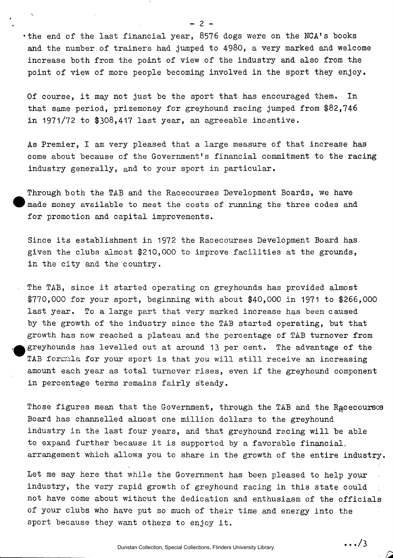•the end of the last financial year, 8576 dogs were on the NCA's books and the number of trainers had jumped to 4980, a very marked and welcome increase both from the point of view of the industry and also from the point of view of more people becoming involved in the sport they enjoy.

Of course, it may not just be the sport that has encouraged them. In that same period, prizemoney for greyhound racing jumped from \$82,746 in 1971/72 to \$308,417 last year, an agreeable incentive.

As Premier, I am very pleased that a large measure of that increase has come about because of the Government's financial commitment to the racing industry generally, and to your sport in particular.

Through both the TAB and the Racecourses Development Boards, we have made money available to meet the costs of running the three codes and for promotion and capital improvements.

Since its establishment in 1972 the Racecourses Development Board has given the clubs almost \$210,000 to improve facilities at the grounds, in the city and the country.

The TAB, since it started operating on greyhounds has provided almost \$770,000 for your sport, beginning with about \$40,000 in 1971 to \$266,000 last year. To a large part that very marked increase has been caused by the growth of the industry since the TAB started operating, but that growth has now reached a plateau and the percentage of TAB turnover from greyhounds has levelled out at around 13 per cent. The advantage of the TAB formula for your sport is that you will still receive an increasing amount each year as total turnover rises, even if the greyhound component in percentage terms remains fairly steady.

Those figures mean that the Government, through the TAB and the Rgcecourscs Board has channelled almost one million dollars to the greyhound industry in the last four years, and that greyhound racing will be able to expand further because it is supported by a favorable financial, arrangement which allows you to share in the growth of the entire industry.

Let me say here that while the Government has been pleased to help your industry, the very rapid growth of greyhound racing in this state could not have come about without the dedication and enthusiasm of the officials of your clubs who have put so much of their time and energy into the sport because they want others to enjoy it.

 $-2$ 

Dunstan Collection, Special Collections, Flinders University Library.

.../3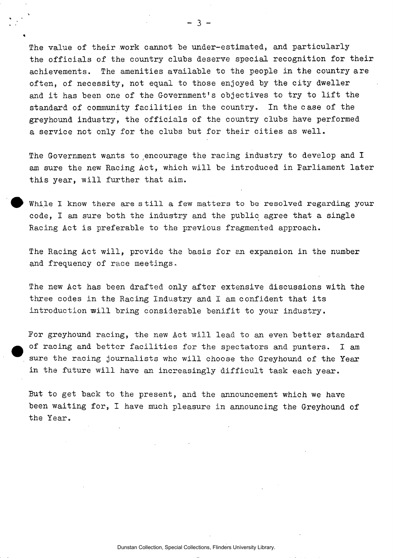The value of their work cannot be under-estimated, and particularly the officials of the country clubs deserve special recognition for their achievements. The amenities available to the people in the country are often, of necessity, not equal to those enjoyed by the city dweller and it has been one of the Government's objectives to try to lift the standard of community facilities in the country. In the case of the greyhound industry, the officials of the country clubs have performed a service not only for the clubs but for their cities as well.

The Government wants to encourage the racing industry to develop and I am sure the new Racing Act, which will be introduced in Parliament later this year, will further that aim.

While I know there are still a few matters to be resolved regarding your code, I am sure both the industry and the public agree that a single Racing Act is preferable to the previous fragmented approach.

The Racing Act will, provide the basis for an expansion in the number and frequency of race meetings.

The new Act has been drafted only after extensive discussions with the three codes in the Racing Industry and I am confident that its introduction will bring considerable benifit to your industry.

For greyhound racing, the new Act will lead to an even better standard of racing and better facilities for the spectators and punters. I am sure the racing journalists who will choose the Greyhound of the Year in the future will have an increasingly difficult task each year.

But to get back to the present, and the announcement which we have been waiting for, I have much pleasure in announcing the Greyhound of the Year.

Dunstan Collection, Special Collections, Flinders University Library.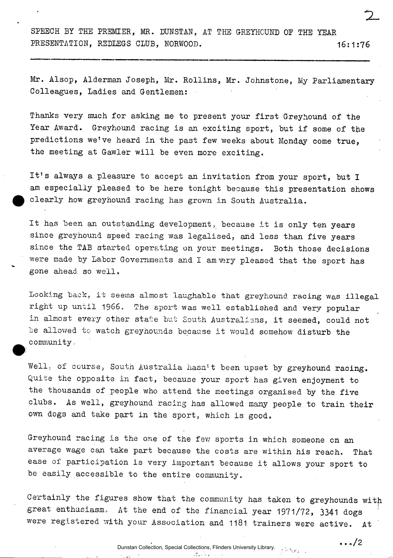SPEECH BY THE PREMIER, MR. DUNSTAN, AT THE GREYHOUND OE THE YEAR PRESENTATION, REDLEGS CLUB, NORWOOD. 16:1:76

Mr. Alsop, Alderman Joseph, Mr. Rollins, Mr. Johnstone, My Parliamentary Colleagues, Ladies and Gentlemen:

Thanks very much for asking me to present your first Greyhound of the Year Award. Greyhound racing is an exciting sport, but if some of the predictions we've heard in the past few weeks about Monday come true, the meeting at Gawler will be even more exciting.

It's always a pleasure to accept an invitation from your sport, but I am especially pleased to be here tonight because this presentation shows clearly how greyhound racing has grown in South Australia.

It has been an outstanding development, because it is only ten years since greyhound speed racing was legalised, and less than five years since the TAB started operating on your meetings. Both those decisions were made by Labor Governments and I amvery pleased that the sport has gone ahead so well.

Looking back, it seems almost laughable that greyhound racing was illegal right up until 1966. The sport was well established and very popular in almost every other state but South Australians, it seemed, could not be allowed to watch greyhounds because it would somehow disturb the community,

Well, of course, South Australia hasn't been upset by greyhound racing. Quite the opposite in fact, because your sport has given enjoyment to the thousands of people who attend the meetings organised by the five clubs. As well, greyhound racing has allowed many people to train their own dogs and take part in the sport, which is good.

Greyhound racing is the one of the few sports in which someone cn an average wage can take part because the costs are within his reach. That ease of participation is very important because it allows your sport to be easily accessible to the entire community.

Certainly the figures show that the community has taken to greyhounds with great enthusiasm, At the end of the financial year 1971/72, 3341 dogs were registered with your Association and 1181 trainers were active. At

> Dunstan Collection, Special Collections, Flinders University Library. $\mathcal{L}_{\mathbf{r}}^{\mathbf{r}}$

 $\cdots$  o/2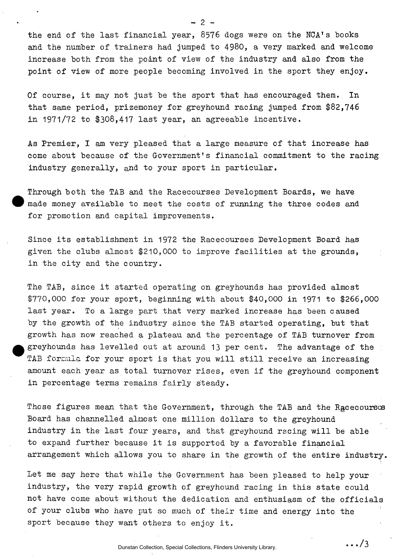the end of the last financial year, 8576 dogs were on the NCA's books and the number of trainers had jumped to 4980, a very marked and welcome increase both from the point of view of the industry and also from the point of view of more people becoming involved in the sport they enjoy.

Of course, it may not just be the sport that has encouraged them. In that same period, prizemoney for greyhound racing jumped from \$82,746 in 1971/72 to \$308,417 last year, an agreeable incentive.

As Premier, I am very pleased that a large measure of that increase has come about because of the Government's financial commitment to the racing industry generally, and to your sport in particular.

Through both the TAB and the Racecourses Development Boards, we have  $m$  made money available to meet the costs of running the three codes and for promotion and capital improvements.

Since its establishment in 1972 the Racecourses Development Board has given the clubs almost \$210,000 to improve facilities at the grounds, in the city and the country.

The TAB, since it started operating on greyhounds has provided almost \$770,000 for your sport, beginning with about \$40,000 in 1971 to \$266,000 last year. To a large part that very marked increase has been caused by the growth of the industry since the TAB started operating, but that growth has now reached a plateau and the percentage of TAB turnover from greyhounds has levelled out at around 13 per cent. The advantage of the TAB formula for your sport is that you will still receive an increasing amount each year as total turnover rises, even if the greyhound component in percentage terms remains fairly steady.

Those figures mean that the Government, through the TAB and the Racecourscs Board has channelled almost one million dollars to the greyhound industry in the last four years, and that greyhound racing will be able to expand further because it is supported by a favorable financial arrangement which allows you to share in the growth of the entire industry.

Let me say here that while the Government has been pleased to help your industry, the very rapid growth of greyhound racing in this state could not have come about without the dedication and enthusiasm of the officials of your clubs who have put so much of their time and energy into the sport because they want others to enjoy it.

- 2 -

Dunstan Collection, Special Collections, Flinders University Library.

.../3